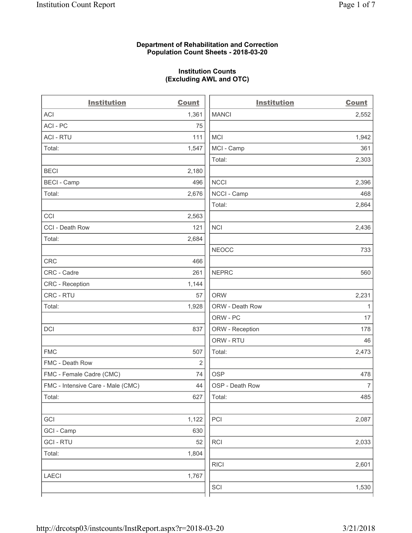## **Department of Rehabilitation and Correction Population Count Sheets - 2018-03-20**

# **Institution Counts (Excluding AWL and OTC)**

 $\overline{a}$ 

| <b>Institution</b>                | <b>Count</b> | <b>Institution</b> | <b>Count</b>   |
|-----------------------------------|--------------|--------------------|----------------|
| ACI                               | 1,361        | <b>MANCI</b>       | 2,552          |
| ACI - PC                          | 75           |                    |                |
| <b>ACI - RTU</b>                  | 111          | <b>MCI</b>         | 1,942          |
| Total:                            | 1,547        | MCI - Camp         | 361            |
|                                   |              | Total:             | 2,303          |
| <b>BECI</b>                       | 2,180        |                    |                |
| <b>BECI - Camp</b>                | 496          | <b>NCCI</b>        | 2,396          |
| Total:                            | 2,676        | NCCI - Camp        | 468            |
|                                   |              | Total:             | 2,864          |
| CCI                               | 2,563        |                    |                |
| CCI - Death Row                   | 121          | <b>NCI</b>         | 2,436          |
| Total:                            | 2,684        |                    |                |
|                                   |              | <b>NEOCC</b>       | 733            |
| <b>CRC</b>                        | 466          |                    |                |
| CRC - Cadre                       | 261          | <b>NEPRC</b>       | 560            |
| CRC - Reception                   | 1,144        |                    |                |
| CRC - RTU                         | 57           | <b>ORW</b>         | 2,231          |
| Total:                            | 1,928        | ORW - Death Row    | $\mathbf{1}$   |
|                                   |              | ORW - PC           | 17             |
| DCI                               | 837          | ORW - Reception    | 178            |
|                                   |              | ORW - RTU          | 46             |
| <b>FMC</b>                        | 507          | Total:             | 2,473          |
| FMC - Death Row                   | 2            |                    |                |
| FMC - Female Cadre (CMC)          | 74           | <b>OSP</b>         | 478            |
| FMC - Intensive Care - Male (CMC) | 44           | OSP - Death Row    | $\overline{7}$ |
| Total:                            | 627          | Total:             | 485            |
|                                   |              |                    |                |
| GCI                               | 1,122        | PCI                | 2,087          |
| GCI - Camp                        | 630          |                    |                |
| <b>GCI-RTU</b>                    | 52           | RCI                | 2,033          |
| Total:                            | 1,804        |                    |                |
|                                   |              | <b>RICI</b>        | 2,601          |
| LAECI                             | 1,767        |                    |                |
|                                   |              | SCI                | 1,530          |
|                                   |              |                    |                |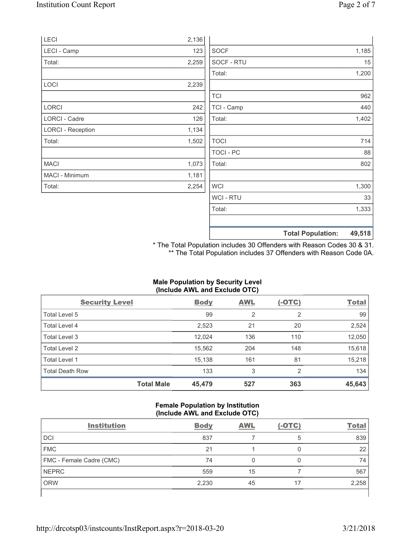|                          |       |                  | <b>Total Population:</b> | 49,518 |
|--------------------------|-------|------------------|--------------------------|--------|
|                          |       |                  |                          |        |
|                          |       | Total:           |                          | 1,333  |
|                          |       | <b>WCI-RTU</b>   |                          | 33     |
| Total:                   | 2,254 | <b>WCI</b>       |                          | 1,300  |
| MACI - Minimum           | 1,181 |                  |                          |        |
| <b>MACI</b>              | 1,073 | Total:           |                          | 802    |
|                          |       | <b>TOCI - PC</b> |                          | 88     |
| Total:                   | 1,502 | <b>TOCI</b>      |                          | 714    |
| <b>LORCI - Reception</b> | 1,134 |                  |                          |        |
| LORCI - Cadre            | 126   | Total:           |                          | 1,402  |
| <b>LORCI</b>             | 242   | TCI - Camp       |                          | 440    |
|                          |       | <b>TCI</b>       |                          | 962    |
| LOCI                     | 2,239 |                  |                          |        |
|                          |       | Total:           |                          | 1,200  |
| Total:                   | 2,259 | SOCF - RTU       |                          | 15     |
| LECI - Camp              | 123   | <b>SOCF</b>      |                          | 1,185  |
| LECI                     | 2,136 |                  |                          |        |

\* The Total Population includes 30 Offenders with Reason Codes 30 & 31. \*\* The Total Population includes 37 Offenders with Reason Code 0A.

## **Male Population by Security Level (Include AWL and Exclude OTC)**

| <b>Security Level</b>  |                   | <b>Body</b> | <b>AWL</b> | $(-OTC)$ | <b>Total</b> |
|------------------------|-------------------|-------------|------------|----------|--------------|
| Total Level 5          |                   | 99          | 2          | 2        | 99           |
| Total Level 4          |                   | 2,523       | 21         | 20       | 2,524        |
| Total Level 3          |                   | 12,024      | 136        | 110      | 12,050       |
| Total Level 2          |                   | 15,562      | 204        | 148      | 15,618       |
| Total Level 1          |                   | 15,138      | 161        | 81       | 15,218       |
| <b>Total Death Row</b> |                   | 133         | 3          | 2        | 134          |
|                        | <b>Total Male</b> | 45,479      | 527        | 363      | 45,643       |

#### **Female Population by Institution (Include AWL and Exclude OTC)**

| <b>Institution</b>       | <b>Body</b> | <b>AWL</b> | $(-OTC)$ | <b>Total</b> |
|--------------------------|-------------|------------|----------|--------------|
| <b>DCI</b>               | 837         |            | 5        | 839          |
| <b>FMC</b>               | 21          |            |          | 22           |
| FMC - Female Cadre (CMC) | 74          |            |          | 74           |
| <b>NEPRC</b>             | 559         | 15         |          | 567          |
| <b>ORW</b>               | 2,230       | 45         | 17       | 2,258        |
|                          |             |            |          |              |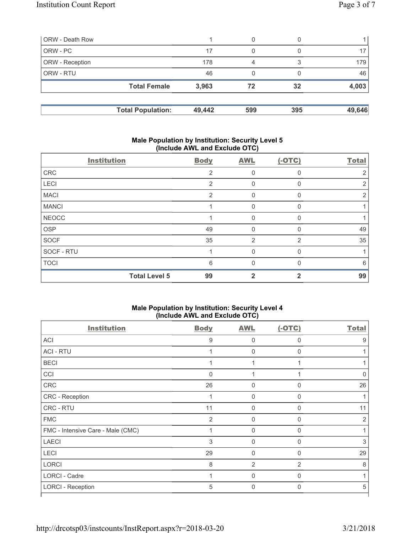| <b>ORW</b> - Death Row |                          |        | 0   |     |        |
|------------------------|--------------------------|--------|-----|-----|--------|
| ORW - PC               |                          | 17     | 0   |     |        |
| <b>ORW</b> - Reception |                          | 178    | 4   |     | 179    |
| <b>ORW - RTU</b>       |                          | 46     |     |     | 46     |
|                        | <b>Total Female</b>      | 3,963  | 72  | 32  | 4,003  |
|                        | <b>Total Population:</b> | 49,442 | 599 | 395 | 49,646 |

### **Male Population by Institution: Security Level 5 (Include AWL and Exclude OTC)**

| <b>Institution</b> |                      | <b>Body</b> | <b>AWL</b>   | $(-OTC)$       | <b>Total</b> |
|--------------------|----------------------|-------------|--------------|----------------|--------------|
| CRC                |                      | 2           | $\mathbf 0$  | 0              | 2            |
| LECI               |                      | 2           | $\mathbf 0$  | 0              | 2            |
| <b>MACI</b>        |                      | 2           | $\mathbf 0$  | $\mathbf{0}$   | 2            |
| <b>MANCI</b>       |                      |             | $\mathbf 0$  | $\Omega$       |              |
| <b>NEOCC</b>       |                      |             | 0            | 0              |              |
| <b>OSP</b>         |                      | 49          | $\mathbf 0$  | 0              | 49           |
| <b>SOCF</b>        |                      | 35          | 2            | $\overline{2}$ | 35           |
| SOCF - RTU         |                      |             | $\mathbf 0$  | $\Omega$       |              |
| <b>TOCI</b>        |                      | 6           | $\Omega$     | U              | 6            |
|                    | <b>Total Level 5</b> | 99          | $\mathbf{2}$ | 2              | 99           |

#### **Male Population by Institution: Security Level 4 (Include AWL and Exclude OTC)**

| <b>Institution</b>                | <b>Body</b>    | <b>AWL</b>  | $(-OTC)$       | <b>Total</b>   |
|-----------------------------------|----------------|-------------|----------------|----------------|
| <b>ACI</b>                        | 9              | $\Omega$    | 0              | 9              |
| <b>ACI - RTU</b>                  |                | 0           | 0              |                |
| <b>BECI</b>                       |                | 1           |                |                |
| CCI                               | $\mathbf{0}$   |             |                | 0              |
| CRC                               | 26             | 0           | $\Omega$       | 26             |
| CRC - Reception                   | 1              | $\Omega$    | $\Omega$       |                |
| CRC - RTU                         | 11             | 0           | 0              | 11             |
| <b>FMC</b>                        | $\overline{2}$ | $\mathbf 0$ | $\Omega$       | $\overline{2}$ |
| FMC - Intensive Care - Male (CMC) | 1              | $\Omega$    | $\Omega$       |                |
| <b>LAECI</b>                      | 3              | $\mathbf 0$ | $\Omega$       | 3              |
| <b>LECI</b>                       | 29             | $\mathbf 0$ | $\Omega$       | 29             |
| <b>LORCI</b>                      | 8              | 2           | $\overline{2}$ | 8              |
| LORCI - Cadre                     |                | $\mathbf 0$ | $\Omega$       |                |
| <b>LORCI - Reception</b>          | 5              | $\Omega$    | $\Omega$       | 5              |
|                                   |                |             |                |                |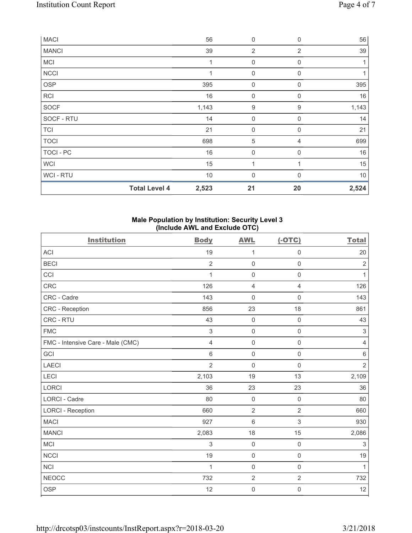| <b>MACI</b>      |                      | 56    | $\mathbf 0$    | $\mathbf 0$    | 56    |
|------------------|----------------------|-------|----------------|----------------|-------|
| <b>MANCI</b>     |                      | 39    | $\overline{2}$ | $\overline{2}$ | 39    |
| <b>MCI</b>       |                      | 1     | 0              | $\mathbf 0$    | 1     |
| <b>NCCI</b>      |                      |       | $\mathbf 0$    | $\mathbf 0$    |       |
| <b>OSP</b>       |                      | 395   | 0              | 0              | 395   |
| RCI              |                      | 16    | $\mathbf 0$    | $\mathbf 0$    | 16    |
| SOCF             |                      | 1,143 | 9              | 9              | 1,143 |
| SOCF - RTU       |                      | 14    | $\mathbf 0$    | $\mathbf 0$    | 14    |
| <b>TCI</b>       |                      | 21    | $\mathbf 0$    | $\mathbf 0$    | 21    |
| <b>TOCI</b>      |                      | 698   | 5              | 4              | 699   |
| <b>TOCI - PC</b> |                      | 16    | $\mathbf 0$    | $\Omega$       | 16    |
| <b>WCI</b>       |                      | 15    | 1              |                | 15    |
| WCI - RTU        |                      | $10$  | $\mathbf 0$    | $\Omega$       | $10$  |
|                  | <b>Total Level 4</b> | 2,523 | 21             | 20             | 2,524 |

## **Male Population by Institution: Security Level 3 (Include AWL and Exclude OTC)**

| <b>Institution</b>                | <b>Body</b>    | <b>AWL</b>          | $(-OTC)$            | <b>Total</b>              |
|-----------------------------------|----------------|---------------------|---------------------|---------------------------|
| <b>ACI</b>                        | 19             | 1                   | $\mathsf{O}\xspace$ | 20                        |
| <b>BECI</b>                       | $\overline{2}$ | $\mathsf{O}\xspace$ | $\mathsf{O}\xspace$ | $\sqrt{2}$                |
| CCI                               | $\mathbf{1}$   | $\mathsf{O}\xspace$ | $\mathsf{O}\xspace$ | $\mathbf{1}$              |
| CRC                               | 126            | 4                   | 4                   | 126                       |
| CRC - Cadre                       | 143            | $\mathbf 0$         | $\mathsf 0$         | 143                       |
| CRC - Reception                   | 856            | 23                  | 18                  | 861                       |
| CRC - RTU                         | 43             | $\mathsf{O}\xspace$ | $\mathsf{O}\xspace$ | 43                        |
| <b>FMC</b>                        | 3              | $\mathsf 0$         | $\mathsf{O}\xspace$ | $\,$ 3 $\,$               |
| FMC - Intensive Care - Male (CMC) | 4              | $\mathsf{O}\xspace$ | $\mathsf{O}\xspace$ | $\overline{4}$            |
| GCI                               | 6              | $\mathsf{O}\xspace$ | $\mathbf 0$         | $\,6\,$                   |
| <b>LAECI</b>                      | $\overline{2}$ | $\mathbf 0$         | $\mathsf{O}\xspace$ | $\overline{2}$            |
| <b>LECI</b>                       | 2,103          | 19                  | 13                  | 2,109                     |
| <b>LORCI</b>                      | 36             | 23                  | 23                  | 36                        |
| LORCI - Cadre                     | 80             | $\mathbf 0$         | $\mathsf{O}\xspace$ | 80                        |
| <b>LORCI - Reception</b>          | 660            | $\overline{2}$      | $\overline{2}$      | 660                       |
| <b>MACI</b>                       | 927            | $6\phantom{1}$      | 3                   | 930                       |
| <b>MANCI</b>                      | 2,083          | 18                  | 15                  | 2,086                     |
| <b>MCI</b>                        | 3              | $\mathbf 0$         | $\mathsf{O}\xspace$ | $\ensuremath{\mathsf{3}}$ |
| <b>NCCI</b>                       | 19             | $\mathsf{O}\xspace$ | $\mathsf{O}\xspace$ | 19                        |
| <b>NCI</b>                        | $\mathbf 1$    | $\mathsf{O}\xspace$ | $\mathsf 0$         | $\mathbf{1}$              |
| <b>NEOCC</b>                      | 732            | $\overline{2}$      | $\overline{2}$      | 732                       |
| <b>OSP</b>                        | 12             | $\mathsf{O}\xspace$ | $\mathsf{O}\xspace$ | 12                        |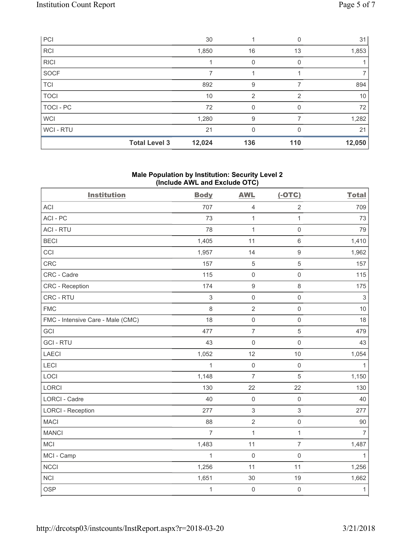| PCI            |                      | 30     |                |          | 31     |
|----------------|----------------------|--------|----------------|----------|--------|
| <b>RCI</b>     |                      | 1,850  | 16             | 13       | 1,853  |
| <b>RICI</b>    |                      |        | 0              |          |        |
| SOCF           |                      | 7      |                |          |        |
| <b>TCI</b>     |                      | 892    | 9              |          | 894    |
| <b>TOCI</b>    |                      | 10     | $\overline{2}$ | 2        | 10     |
| TOCI - PC      |                      | 72     | 0              |          | 72     |
| <b>WCI</b>     |                      | 1,280  | 9              |          | 1,282  |
| <b>WCI-RTU</b> |                      | 21     | 0              | $\Omega$ | 21     |
|                | <b>Total Level 3</b> | 12,024 | 136            | 110      | 12,050 |

## **Male Population by Institution: Security Level 2 (Include AWL and Exclude OTC)**

| <b>Institution</b>                | <b>Body</b>    | <b>AWL</b>          | $(-OTC)$            | <b>Total</b>   |
|-----------------------------------|----------------|---------------------|---------------------|----------------|
| <b>ACI</b>                        | 707            | $\overline{4}$      | $\overline{2}$      | 709            |
| ACI-PC                            | 73             | 1                   | $\mathbf{1}$        | 73             |
| <b>ACI - RTU</b>                  | 78             | 1                   | $\mathsf{O}\xspace$ | 79             |
| <b>BECI</b>                       | 1,405          | 11                  | $\,6\,$             | 1,410          |
| CCI                               | 1,957          | 14                  | $\boldsymbol{9}$    | 1,962          |
| CRC                               | 157            | $\overline{5}$      | $\sqrt{5}$          | 157            |
| CRC - Cadre                       | 115            | $\mathsf{O}\xspace$ | $\mathsf 0$         | 115            |
| CRC - Reception                   | 174            | $\mathsf g$         | $\,8\,$             | 175            |
| CRC - RTU                         | $\,$ 3 $\,$    | $\mathsf{O}\xspace$ | $\mathsf{O}\xspace$ | $\mathsf 3$    |
| <b>FMC</b>                        | 8              | $\sqrt{2}$          | $\mathsf 0$         | 10             |
| FMC - Intensive Care - Male (CMC) | 18             | $\mathsf{O}\xspace$ | $\mathsf{O}\xspace$ | 18             |
| GCI                               | 477            | $\overline{7}$      | $\sqrt{5}$          | 479            |
| <b>GCI-RTU</b>                    | 43             | $\mathsf{O}\xspace$ | $\mathsf 0$         | 43             |
| LAECI                             | 1,052          | 12                  | 10                  | 1,054          |
| LECI                              | $\mathbf{1}$   | $\mathsf{O}\xspace$ | $\mathsf 0$         | $\mathbf{1}$   |
| LOCI                              | 1,148          | $\overline{7}$      | $\sqrt{5}$          | 1,150          |
| LORCI                             | 130            | 22                  | 22                  | 130            |
| LORCI - Cadre                     | 40             | $\mathsf{O}\xspace$ | $\mathsf{O}\xspace$ | 40             |
| <b>LORCI - Reception</b>          | 277            | $\,$ 3 $\,$         | $\mathfrak{S}$      | 277            |
| <b>MACI</b>                       | 88             | $\sqrt{2}$          | $\mathsf{O}\xspace$ | 90             |
| <b>MANCI</b>                      | $\overline{7}$ | $\mathbf{1}$        | $\mathbf{1}$        | $\overline{7}$ |
| MCI                               | 1,483          | 11                  | $\overline{7}$      | 1,487          |
| MCI - Camp                        | $\mathbf{1}$   | $\mathbf 0$         | $\mathsf{O}\xspace$ | $\mathbf{1}$   |
| <b>NCCI</b>                       | 1,256          | 11                  | 11                  | 1,256          |
| <b>NCI</b>                        | 1,651          | 30                  | 19                  | 1,662          |
| <b>OSP</b>                        | $\mathbf{1}$   | $\mathsf{O}\xspace$ | $\mathsf{O}\xspace$ | $\mathbf{1}$   |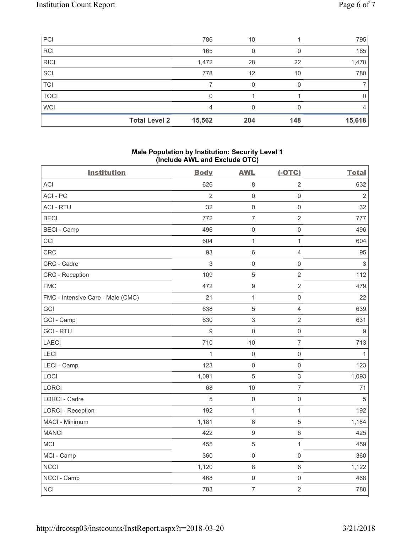| PCI         |                      | 786    | 10  |     | 795    |
|-------------|----------------------|--------|-----|-----|--------|
| RCI         |                      | 165    |     |     | 165    |
| <b>RICI</b> |                      | 1,472  | 28  | 22  | 1,478  |
| SCI         |                      | 778    | 12  | 10  | 780    |
| TCI         |                      |        |     |     |        |
| <b>TOCI</b> |                      | 0      |     |     | 0      |
| <b>WCI</b>  |                      | 4      |     |     | 4      |
|             | <b>Total Level 2</b> | 15,562 | 204 | 148 | 15,618 |

## **Male Population by Institution: Security Level 1 (Include AWL and Exclude OTC)**

| <b>Institution</b>                | <b>Body</b>    | ,<br><b>AWL</b>           | $(-OTC)$            | <b>Total</b>              |
|-----------------------------------|----------------|---------------------------|---------------------|---------------------------|
| <b>ACI</b>                        | 626            | $\,8\,$                   | $\overline{2}$      | 632                       |
| ACI-PC                            | $\overline{2}$ | $\mathsf 0$               | $\mathsf{O}\xspace$ | $\overline{2}$            |
| <b>ACI - RTU</b>                  | 32             | $\mathsf{O}\xspace$       | $\mathsf{O}\xspace$ | 32                        |
| <b>BECI</b>                       | 772            | $\overline{7}$            | $\overline{2}$      | 777                       |
| <b>BECI - Camp</b>                | 496            | $\mathsf{O}\xspace$       | $\mathsf{O}\xspace$ | 496                       |
| CCI                               | 604            | $\mathbf{1}$              | $\mathbf{1}$        | 604                       |
| <b>CRC</b>                        | 93             | $\,6\,$                   | $\overline{4}$      | 95                        |
| CRC - Cadre                       | 3              | $\mathsf{O}\xspace$       | $\mathsf{O}\xspace$ | $\ensuremath{\mathsf{3}}$ |
| <b>CRC</b> - Reception            | 109            | $\,$ 5 $\,$               | $\overline{2}$      | 112                       |
| <b>FMC</b>                        | 472            | $\boldsymbol{9}$          | $\overline{2}$      | 479                       |
| FMC - Intensive Care - Male (CMC) | 21             | $\mathbf{1}$              | $\mathsf{O}\xspace$ | 22                        |
| GCI                               | 638            | $\,$ 5 $\,$               | $\overline{4}$      | 639                       |
| GCI - Camp                        | 630            | $\ensuremath{\mathsf{3}}$ | $\overline{2}$      | 631                       |
| <b>GCI-RTU</b>                    | $\hbox{9}$     | $\mathsf{O}\xspace$       | $\mathsf{O}\xspace$ | $\boldsymbol{9}$          |
| <b>LAECI</b>                      | 710            | 10                        | $\overline{7}$      | 713                       |
| LECI                              | 1              | $\mathsf{O}\xspace$       | $\mathsf{O}\xspace$ | 1                         |
| LECI - Camp                       | 123            | $\mathsf 0$               | $\mathsf 0$         | 123                       |
| LOCI                              | 1,091          | $\,$ 5 $\,$               | $\mathsf 3$         | 1,093                     |
| LORCI                             | 68             | 10                        | $\overline{7}$      | 71                        |
| LORCI - Cadre                     | 5              | $\mathsf{O}\xspace$       | $\mathsf{O}\xspace$ | 5                         |
| <b>LORCI - Reception</b>          | 192            | $\mathbf{1}$              | 1                   | 192                       |
| MACI - Minimum                    | 1,181          | $\,8\,$                   | $\sqrt{5}$          | 1,184                     |
| <b>MANCI</b>                      | 422            | $\boldsymbol{9}$          | $\,6\,$             | 425                       |
| MCI                               | 455            | $\,$ 5 $\,$               | $\mathbf{1}$        | 459                       |
| MCI - Camp                        | 360            | $\mathsf{O}\xspace$       | $\mathsf 0$         | 360                       |
| <b>NCCI</b>                       | 1,120          | $\,8\,$                   | 6                   | 1,122                     |
| NCCI - Camp                       | 468            | $\mathsf 0$               | $\mathsf 0$         | 468                       |
| <b>NCI</b>                        | 783            | $\overline{7}$            | $\overline{2}$      | 788                       |